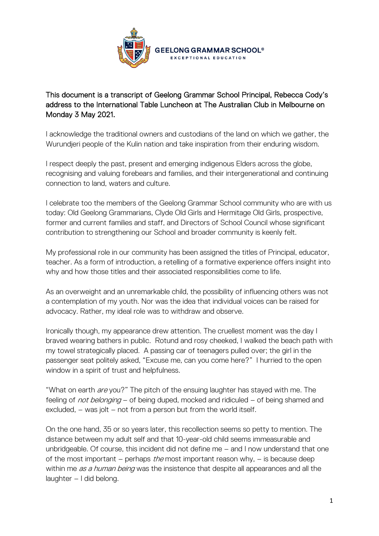

## This document is a transcript of Geelong Grammar School Principal, Rebecca Cody's address to the International Table Luncheon at The Australian Club in Melbourne on Monday 3 May 2021.

I acknowledge the traditional owners and custodians of the land on which we gather, the Wurundjeri people of the Kulin nation and take inspiration from their enduring wisdom.

I respect deeply the past, present and emerging indigenous Elders across the globe, recognising and valuing forebears and families, and their intergenerational and continuing connection to land, waters and culture.

I celebrate too the members of the Geelong Grammar School community who are with us today: Old Geelong Grammarians, Clyde Old Girls and Hermitage Old Girls, prospective, former and current families and staff, and Directors of School Council whose significant contribution to strengthening our School and broader community is keenly felt.

My professional role in our community has been assigned the titles of Principal, educator, teacher. As a form of introduction, a retelling of a formative experience offers insight into why and how those titles and their associated responsibilities come to life.

As an overweight and an unremarkable child, the possibility of influencing others was not a contemplation of my youth. Nor was the idea that individual voices can be raised for advocacy. Rather, my ideal role was to withdraw and observe.

Ironically though, my appearance drew attention. The cruellest moment was the day I braved wearing bathers in public. Rotund and rosy cheeked, I walked the beach path with my towel strategically placed. A passing car of teenagers pulled over; the girl in the passenger seat politely asked, "Excuse me, can you come here?" I hurried to the open window in a spirit of trust and helpfulness.

"What on earth are you?" The pitch of the ensuing laughter has stayed with me. The feeling of *not belonging* – of being duped, mocked and ridiculed – of being shamed and excluded, – was jolt – not from a person but from the world itself.

On the one hand, 35 or so years later, this recollection seems so petty to mention. The distance between my adult self and that 10-year-old child seems immeasurable and unbridgeable. Of course, this incident did not define me – and I now understand that one of the most important – perhaps *the* most important reason why, – is because deep within me *as a human being* was the insistence that despite all appearances and all the laughter – I did belong.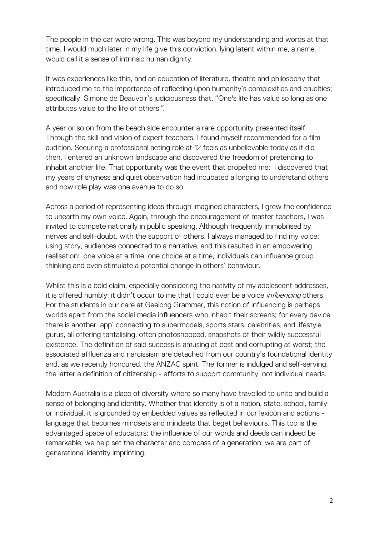The people in the car were wrong. This was beyond my understanding and words at that time. I would much later in my life give this conviction, lying latent within me, a name. I would call it a sense of intrinsic human dignity.

It was experiences like this, and an education of literature, theatre and philosophy that introduced me to the importance of reflecting upon humanity's complexities and cruelties; specifically, Simone de Beauvoir's judiciousness that, "One's life has value so long as one attributes value to the life of others".

A year or so on from the beach side encounter a rare opportunity presented itself. Through the skill and vision of expert teachers, I found myself recommended for a film audition. Securing a professional acting role at 12 feels as unbelievable today as it did then. I entered an unknown landscape and discovered the freedom of pretending to inhabit another life. That opportunity was the event that propelled me: I discovered that my years of shyness and quiet observation had incubated a longing to understand others and now role play was one avenue to do so.

Across a period of representing ideas through imagined characters, I grew the confidence to unearth my own voice. Again, through the encouragement of master teachers, I was invited to compete nationally in public speaking. Although frequently immobilised by nerves and self-doubt, with the support of others, I always managed to find my voice: using story, audiences connected to a narrative, and this resulted in an empowering realisation: one voice at a time, one choice at a time, individuals can influence group thinking and even stimulate a potential change in others' behaviour.

Whilst this is a bold claim, especially considering the nativity of my adolescent addresses, it is offered humbly: it didn't occur to me that I could ever be a voice *influencing* others. For the students in our care at Geelong Grammar, this notion of influencing is perhaps worlds apart from the social media influencers who inhabit their screens; for every device there is another 'app' connecting to supermodels, sports stars, celebrities, and lifestyle gurus, all offering tantalising, often photoshopped, snapshots of their wildly successful existence. The definition of said success is amusing at best and corrupting at worst; the associated affluenza and narcissism are detached from our country's foundational identity and, as we recently honoured, the ANZAC spirit. The former is indulged and self-serving; the latter a definition of citizenship - efforts to support community, not individual needs.

Modern Australia is a place of diversity where so many have travelled to unite and build a sense of belonging and identity. Whether that identity is of a nation, state, school, family or individual, it is grounded by embedded values as reflected in our lexicon and actions language that becomes mindsets and mindsets that beget behaviours. This too is the advantaged space of educators: the influence of our words and deeds can indeed be remarkable; we help set the character and compass of a generation; we are part of generational identity imprinting.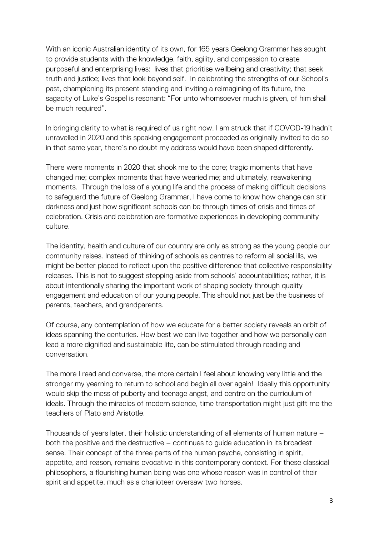With an iconic Australian identity of its own, for 165 years Geelong Grammar has sought to provide students with the knowledge, faith, agility, and compassion to create purposeful and enterprising lives: lives that prioritise wellbeing and creativity; that seek truth and justice; lives that look beyond self. In celebrating the strengths of our School's past, championing its present standing and inviting a reimagining of its future, the sagacity of Luke's Gospel is resonant: "For unto whomsoever much is given, of him shall be much required".

In bringing clarity to what is required of us right now, I am struck that if COVOD-19 hadn't unravelled in 2020 and this speaking engagement proceeded as originally invited to do so in that same year, there's no doubt my address would have been shaped differently.

There were moments in 2020 that shook me to the core; tragic moments that have changed me; complex moments that have wearied me; and ultimately, reawakening moments. Through the loss of a young life and the process of making difficult decisions to safeguard the future of Geelong Grammar, I have come to know how change can stir darkness and just how significant schools can be through times of crisis and times of celebration. Crisis and celebration are formative experiences in developing community culture.

The identity, health and culture of our country are only as strong as the young people our community raises. Instead of thinking of schools as centres to reform all social ills, we might be better placed to reflect upon the positive difference that collective responsibility releases. This is not to suggest stepping aside from schools' accountabilities; rather, it is about intentionally sharing the important work of shaping society through quality engagement and education of our young people. This should not just be the business of parents, teachers, and grandparents.

Of course, any contemplation of how we educate for a better society reveals an orbit of ideas spanning the centuries. How best we can live together and how we personally can lead a more dignified and sustainable life, can be stimulated through reading and conversation.

The more I read and converse, the more certain I feel about knowing very little and the stronger my yearning to return to school and begin all over again! Ideally this opportunity would skip the mess of puberty and teenage angst, and centre on the curriculum of ideals. Through the miracles of modern science, time transportation might just gift me the teachers of Plato and Aristotle.

Thousands of years later, their holistic understanding of all elements of human nature – both the positive and the destructive – continues to guide education in its broadest sense. Their concept of the three parts of the human psyche, consisting in spirit, appetite, and reason, remains evocative in this contemporary context. For these classical philosophers, a flourishing human being was one whose reason was in control of their spirit and appetite, much as a charioteer oversaw two horses.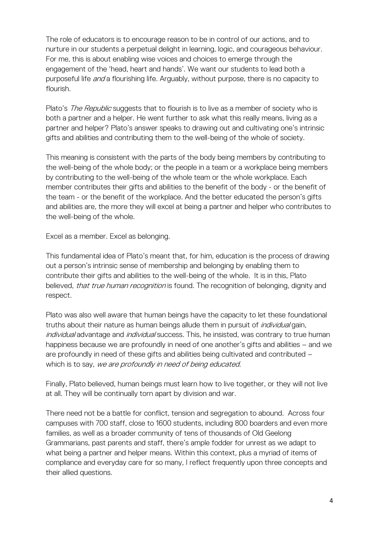The role of educators is to encourage reason to be in control of our actions, and to nurture in our students a perpetual delight in learning, logic, and courageous behaviour. For me, this is about enabling wise voices and choices to emerge through the engagement of the 'head, heart and hands'. We want our students to lead both a purposeful life *and* a flourishing life. Arguably, without purpose, there is no capacity to flourish.

Plato's *The Republic* suggests that to flourish is to live as a member of society who is both a partner and a helper. He went further to ask what this really means, living as a partner and helper? Plato's answer speaks to drawing out and cultivating one's intrinsic gifts and abilities and contributing them to the well-being of the whole of society.

This meaning is consistent with the parts of the body being members by contributing to the well-being of the whole body; or the people in a team or a workplace being members by contributing to the well-being of the whole team or the whole workplace. Each member contributes their gifts and abilities to the benefit of the body - or the benefit of the team - or the benefit of the workplace. And the better educated the person's gifts and abilities are, the more they will excel at being a partner and helper who contributes to the well-being of the whole.

Excel as a member. Excel as belonging.

This fundamental idea of Plato's meant that, for him, education is the process of drawing out a person's intrinsic sense of membership and belonging by enabling them to contribute their gifts and abilities to the well-being of the whole. It is in this, Plato believed, that true human recognition is found. The recognition of belonging, dignity and respect.

Plato was also well aware that human beings have the capacity to let these foundational truths about their nature as human beings allude them in pursuit of *individual* gain, individual advantage and individual success. This, he insisted, was contrary to true human happiness because we are profoundly in need of one another's gifts and abilities – and we are profoundly in need of these gifts and abilities being cultivated and contributed – which is to say, we are profoundly in need of being educated.

Finally, Plato believed, human beings must learn how to live together, or they will not live at all. They will be continually torn apart by division and war.

There need not be a battle for conflict, tension and segregation to abound. Across four campuses with 700 staff, close to 1600 students, including 800 boarders and even more families, as well as a broader community of tens of thousands of Old Geelong Grammarians, past parents and staff, there's ample fodder for unrest as we adapt to what being a partner and helper means. Within this context, plus a myriad of items of compliance and everyday care for so many, I reflect frequently upon three concepts and their allied questions.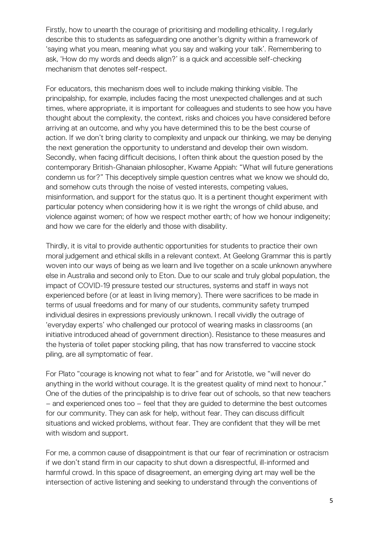Firstly, how to unearth the courage of prioritising and modelling ethicality. I regularly describe this to students as safeguarding one another's dignity within a framework of 'saying what you mean, meaning what you say and walking your talk'. Remembering to ask, 'How do my words and deeds align?' is a quick and accessible self-checking mechanism that denotes self-respect.

For educators, this mechanism does well to include making thinking visible. The principalship, for example, includes facing the most unexpected challenges and at such times, where appropriate, it is important for colleagues and students to see how you have thought about the complexity, the context, risks and choices you have considered before arriving at an outcome, and why you have determined this to be the best course of action. If we don't bring clarity to complexity and unpack our thinking, we may be denying the next generation the opportunity to understand and develop their own wisdom. Secondly, when facing difficult decisions, I often think about the question posed by the contemporary British-Ghanaian philosopher, Kwame Appiah: "What will future generations condemn us for?" This deceptively simple question centres what we know we should do, and somehow cuts through the noise of vested interests, competing values, misinformation, and support for the status quo. It is a pertinent thought experiment with particular potency when considering how it is we right the wrongs of child abuse, and violence against women; of how we respect mother earth; of how we honour indigeneity; and how we care for the elderly and those with disability.

Thirdly, it is vital to provide authentic opportunities for students to practice their own moral judgement and ethical skills in a relevant context. At Geelong Grammar this is partly woven into our ways of being as we learn and live together on a scale unknown anywhere else in Australia and second only to Eton. Due to our scale and truly global population, the impact of COVID-19 pressure tested our structures, systems and staff in ways not experienced before (or at least in living memory). There were sacrifices to be made in terms of usual freedoms and for many of our students, community safety trumped individual desires in expressions previously unknown. I recall vividly the outrage of 'everyday experts' who challenged our protocol of wearing masks in classrooms (an initiative introduced ahead of government direction). Resistance to these measures and the hysteria of toilet paper stocking piling, that has now transferred to vaccine stock piling, are all symptomatic of fear.

For Plato "courage is knowing not what to fear" and for Aristotle, we "will never do anything in the world without courage. It is the greatest quality of mind next to honour." One of the duties of the principalship is to drive fear out of schools, so that new teachers – and experienced ones too – feel that they are guided to determine the best outcomes for our community. They can ask for help, without fear. They can discuss difficult situations and wicked problems, without fear. They are confident that they will be met with wisdom and support.

For me, a common cause of disappointment is that our fear of recrimination or ostracism if we don't stand firm in our capacity to shut down a disrespectful, ill-informed and harmful crowd. In this space of disagreement, an emerging dying art may well be the intersection of active listening and seeking to understand through the conventions of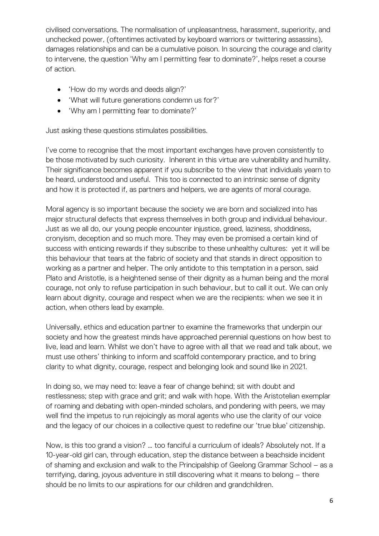civilised conversations. The normalisation of unpleasantness, harassment, superiority, and unchecked power, (oftentimes activated by keyboard warriors or twittering assassins), damages relationships and can be a cumulative poison. In sourcing the courage and clarity to intervene, the question 'Why am I permitting fear to dominate?', helps reset a course of action.

- 'How do my words and deeds align?'
- 'What will future generations condemn us for?'
- 'Why am I permitting fear to dominate?'

Just asking these questions stimulates possibilities.

I've come to recognise that the most important exchanges have proven consistently to be those motivated by such curiosity. Inherent in this virtue are vulnerability and humility. Their significance becomes apparent if you subscribe to the view that individuals yearn to be heard, understood and useful. This too is connected to an intrinsic sense of dignity and how it is protected if, as partners and helpers, we are agents of moral courage.

Moral agency is so important because the society we are born and socialized into has major structural defects that express themselves in both group and individual behaviour. Just as we all do, our young people encounter injustice, greed, laziness, shoddiness, cronyism, deception and so much more. They may even be promised a certain kind of success with enticing rewards if they subscribe to these unhealthy cultures: yet it will be this behaviour that tears at the fabric of society and that stands in direct opposition to working as a partner and helper. The only antidote to this temptation in a person, said Plato and Aristotle, is a heightened sense of their dignity as a human being and the moral courage, not only to refuse participation in such behaviour, but to call it out. We can only learn about dignity, courage and respect when we are the recipients: when we see it in action, when others lead by example.

Universally, ethics and education partner to examine the frameworks that underpin our society and how the greatest minds have approached perennial questions on how best to live, lead and learn. Whilst we don't have to agree with all that we read and talk about, we must use others' thinking to inform and scaffold contemporary practice, and to bring clarity to what dignity, courage, respect and belonging look and sound like in 2021.

In doing so, we may need to: leave a fear of change behind; sit with doubt and restlessness; step with grace and grit; and walk with hope. With the Aristotelian exemplar of roaming and debating with open-minded scholars, and pondering with peers, we may well find the impetus to run rejoicingly as moral agents who use the clarity of our voice and the legacy of our choices in a collective quest to redefine our 'true blue' citizenship.

Now, is this too grand a vision? … too fanciful a curriculum of ideals? Absolutely not. If a 10-year-old girl can, through education, step the distance between a beachside incident of shaming and exclusion and walk to the Principalship of Geelong Grammar School – as a terrifying, daring, joyous adventure in still discovering what it means to belong – there should be no limits to our aspirations for our children and grandchildren.